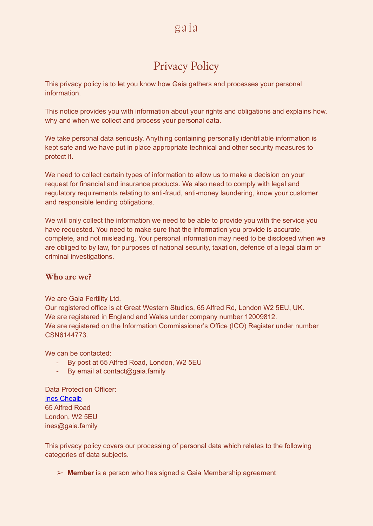# Privacy Policy

This privacy policy is to let you know how Gaia gathers and processes your personal information.

This notice provides you with information about your rights and obligations and explains how, why and when we collect and process your personal data.

We take personal data seriously. Anything containing personally identifiable information is kept safe and we have put in place appropriate technical and other security measures to protect it.

We need to collect certain types of information to allow us to make a decision on your request for financial and insurance products. We also need to comply with legal and regulatory requirements relating to anti-fraud, anti-money laundering, know your customer and responsible lending obligations.

We will only collect the information we need to be able to provide you with the service you have requested. You need to make sure that the information you provide is accurate, complete, and not misleading. Your personal information may need to be disclosed when we are obliged to by law, for purposes of national security, taxation, defence of a legal claim or criminal investigations.

#### **Who are we?**

We are Gaia Fertility Ltd.

Our registered office is at Great Western Studios, 65 Alfred Rd, London W2 5EU, UK. We are registered in England and Wales under company number 12009812. We are registered on the Information Commissioner's Office (ICO) Register under number CSN6144773.

We can be contacted:

- By post at 65 Alfred Road, London, W2 5EU
- By email at contact@gaia.family

Data Protection Officer: Ines [Cheaib](mailto:ines@gaia.family) 65 Alfred Road London, W2 5EU ines@gaia.family

This privacy policy covers our processing of personal data which relates to the following categories of data subjects.

➢ **Member** is a person who has signed a Gaia Membership agreement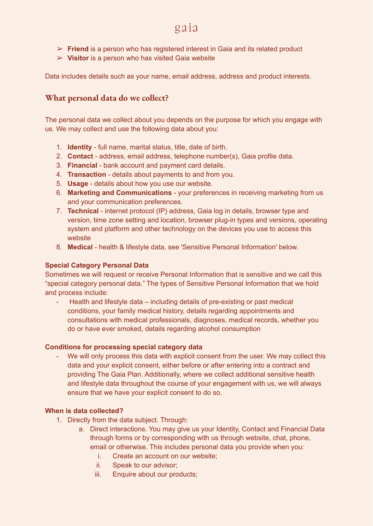- ➢ **Friend** is a person who has registered interest in Gaia and its related product
- ➢ **Visitor** is a person who has visited Gaia website

Data includes details such as your name, email address, address and product interests.

### **What personal data do we collect?**

The personal data we collect about you depends on the purpose for which you engage with us. We may collect and use the following data about you:

- 1. **Identity** full name, marital status, title, date of birth.
- 2. **Contact** address, email address, telephone number(s), Gaia profile data.
- 3. **Financial** bank account and payment card details.
- 4. **Transaction** details about payments to and from you.
- 5. **Usage** details about how you use our website.
- 6. **Marketing and Communications** your preferences in receiving marketing from us and your communication preferences.
- 7. **Technical** internet protocol (IP) address, Gaia log in details, browser type and version, time zone setting and location, browser plug-in types and versions, operating system and platform and other technology on the devices you use to access this website
- 8. **Medical** health & lifestyle data, see 'Sensitive Personal Information' below.

#### **Special Category Personal Data**

Sometimes we will request or receive Personal Information that is sensitive and we call this "special category personal data." The types of Sensitive Personal Information that we hold and process include:

Health and lifestyle data – including details of pre-existing or past medical conditions, your family medical history, details regarding appointments and consultations with medical professionals, diagnoses, medical records, whether you do or have ever smoked, details regarding alcohol consumption

#### **Conditions for processing special category data**

We will only process this data with explicit consent from the user. We may collect this data and your explicit consent, either before or after entering into a contract and providing The Gaia Plan. Additionally, where we collect additional sensitive health and lifestyle data throughout the course of your engagement with us, we will always ensure that we have your explicit consent to do so.

#### **When is data collected?**

- 1. Directly from the data subject. Through:
	- a. Direct interactions. You may give us your Identity, Contact and Financial Data through forms or by corresponding with us through website, chat, phone, email or otherwise. This includes personal data you provide when you:
		- i. Create an account on our website;
		- ii. Speak to our advisor;
		- iii. Enquire about our products;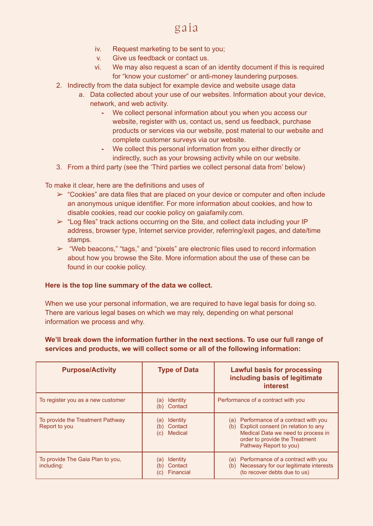- iv. Request marketing to be sent to you;
- v. Give us feedback or contact us.
- vi. We may also request a scan of an identity document if this is required for "know your customer" or anti-money laundering purposes.
- 2. Indirectly from the data subject for example device and website usage data
	- a. Data collected about your use of our websites. Information about your device, network, and web activity.
		- **-** We collect personal information about you when you access our website, register with us, contact us, send us feedback, purchase products or services via our website, post material to our website and complete customer surveys via our website.
		- **-** We collect this personal information from you either directly or indirectly, such as your browsing activity while on our website.
- 3. From a third party (see the 'Third parties we collect personal data from' below)

To make it clear, here are the definitions and uses of

- $\triangleright$  "Cookies" are data files that are placed on your device or computer and often include an anonymous unique identifier. For more information about cookies, and how to disable cookies, read our cookie policy on gaiafamily.com.
- $\triangleright$  "Log files" track actions occurring on the Site, and collect data including your IP address, browser type, Internet service provider, referring/exit pages, and date/time stamps.
- $\triangleright$  "Web beacons," "tags," and "pixels" are electronic files used to record information about how you browse the Site. More information about the use of these can be found in our cookie policy.

#### **Here is the top line summary of the data we collect.**

When we use your personal information, we are required to have legal basis for doing so. There are various legal bases on which we may rely, depending on what personal information we process and why.

### **We'll break down the information further in the next sections. To use our full range of services and products, we will collect some or all of the following information:**

| <b>Purpose/Activity</b>                           | <b>Type of Data</b>                                               | <b>Lawful basis for processing</b><br>including basis of legitimate<br><b>interest</b>                                                                                                     |
|---------------------------------------------------|-------------------------------------------------------------------|--------------------------------------------------------------------------------------------------------------------------------------------------------------------------------------------|
| To register you as a new customer                 | <b>Identity</b><br>(a)<br>Contact<br>(b)                          | Performance of a contract with you                                                                                                                                                         |
| To provide the Treatment Pathway<br>Report to you | <b>Identity</b><br>(a)<br>Contact<br>(b)<br><b>Medical</b><br>(C) | Performance of a contract with you<br>(a)<br>Explicit consent (in relation to any<br>(b)<br>Medical Data we need to process in<br>order to provide the Treatment<br>Pathway Report to you) |
| To provide The Gaia Plan to you,<br>including:    | <b>Identity</b><br>(a)<br>Contact<br>Financial<br>(C)             | Performance of a contract with you<br>(a)<br>Necessary for our legitimate interests<br>(b)<br>(to recover debts due to us)                                                                 |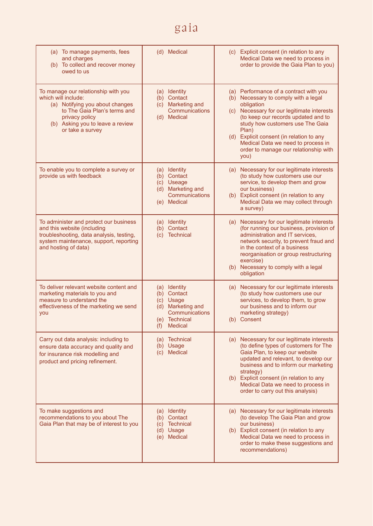| (a) To manage payments, fees<br>and charges<br>(b) To collect and recover money<br>owed to us                                                                                                           | (d) Medical                                                                                                     | (c) Explicit consent (in relation to any<br>Medical Data we need to process in<br>order to provide the Gaia Plan to you)                                                                                                                                                                                                                                                |
|---------------------------------------------------------------------------------------------------------------------------------------------------------------------------------------------------------|-----------------------------------------------------------------------------------------------------------------|-------------------------------------------------------------------------------------------------------------------------------------------------------------------------------------------------------------------------------------------------------------------------------------------------------------------------------------------------------------------------|
| To manage our relationship with you<br>which will include:<br>(a) Notifying you about changes<br>to The Gaia Plan's terms and<br>privacy policy<br>(b) Asking you to leave a review<br>or take a survey | Identity<br>(a)<br>(b) Contact<br>(c) Marketing and<br>Communications<br>(d) Medical                            | (a) Performance of a contract with you<br>(b) Necessary to comply with a legal<br>obligation<br>Necessary for our legitimate interests<br>(c)<br>(to keep our records updated and to<br>study how customers use The Gaia<br>Plan)<br>Explicit consent (in relation to any<br>(d)<br>Medical Data we need to process in<br>order to manage our relationship with<br>you) |
| To enable you to complete a survey or<br>provide us with feedback                                                                                                                                       | (a) Identity<br>(b) Contact<br>(c) Useage<br>(d) Marketing and<br>Communications<br><b>Medical</b><br>(e)       | Necessary for our legitimate interests<br>(a)<br>(to study how customers use our<br>service, to develop them and grow<br>our business)<br>(b) Explicit consent (in relation to any<br>Medical Data we may collect through<br>a survey)                                                                                                                                  |
| To administer and protect our business<br>and this website (including<br>troubleshooting, data analysis, testing,<br>system maintenance, support, reporting<br>and hosting of data)                     | (a) Identity<br>(b) Contact<br>(c) Technical                                                                    | Necessary for our legitimate interests<br>(a)<br>(for running our business, provision of<br>administration and IT services,<br>network security, to prevent fraud and<br>in the context of a business<br>reorganisation or group restructuring<br>exercise)<br>Necessary to comply with a legal<br>(b)<br>obligation                                                    |
| To deliver relevant website content and<br>marketing materials to you and<br>measure to understand the<br>effectiveness of the marketing we send<br>you                                                 | (a) Identity<br>(b) Contact<br>(c) Usage<br>(d) Marketing and<br>Communications<br>(e) Technical<br>(f) Medical | Necessary for our legitimate interests<br>(a)<br>(to study how customers use our<br>services, to develop them, to grow<br>our business and to inform our<br>marketing strategy)<br>(b) Consent                                                                                                                                                                          |
| Carry out data analysis: including to<br>ensure data accuracy and quality and<br>for insurance risk modelling and<br>product and pricing refinement.                                                    | (a) Technical<br>(b) Usage<br><b>Medical</b><br>(c)                                                             | Necessary for our legitimate interests<br>(a)<br>(to define types of customers for The<br>Gaia Plan, to keep our website<br>updated and relevant, to develop our<br>business and to inform our marketing<br>strategy)<br>(b) Explicit consent (in relation to any<br>Medical Data we need to process in<br>order to carry out this analysis)                            |
| To make suggestions and<br>recommendations to you about The<br>Gaia Plan that may be of interest to you                                                                                                 | <b>Identity</b><br>(a)<br>(b) Contact<br>(c) Technical<br>(d) Usage<br>(e) Medical                              | Necessary for our legitimate interests<br>(a)<br>(to develop The Gaia Plan and grow<br>our business)<br>(b) Explicit consent (in relation to any<br>Medical Data we need to process in<br>order to make these suggestions and<br>recommendations)                                                                                                                       |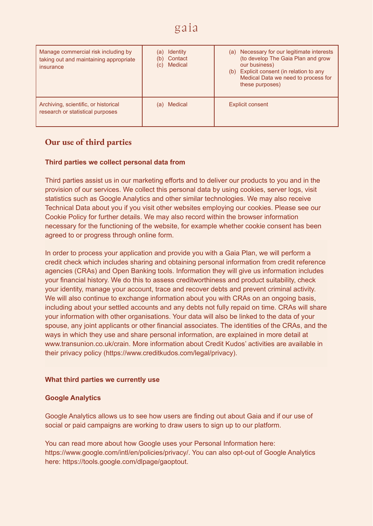| Manage commercial risk including by<br>taking out and maintaining appropriate<br>insurance | <b>Identity</b><br>(a)<br>Contact<br>(b)<br>Medical<br>(C) | Necessary for our legitimate interests<br>(a)<br>(to develop The Gaia Plan and grow<br>our business)<br>(b) Explicit consent (in relation to any<br>Medical Data we need to process for<br>these purposes) |
|--------------------------------------------------------------------------------------------|------------------------------------------------------------|------------------------------------------------------------------------------------------------------------------------------------------------------------------------------------------------------------|
| Archiving, scientific, or historical<br>research or statistical purposes                   | Medical<br>(a)                                             | <b>Explicit consent</b>                                                                                                                                                                                    |

# **Our use of third parties**

#### **Third parties we collect personal data from**

Third parties assist us in our marketing efforts and to deliver our products to you and in the provision of our services. We collect this personal data by using cookies, server logs, visit statistics such as Google Analytics and other similar technologies. We may also receive Technical Data about you if you visit other websites employing our cookies. Please see our [Cookie](https://fronted.rent/p/cookie-policy) Policy for further [details](https://fronted.rent/p/cookie-policy). We may also record within the browser information necessary for the functioning of the website, for example whether cookie consent has been agreed to or progress through online form.

In order to process your application and provide you with a Gaia Plan, we will perform a credit check which includes sharing and obtaining personal information from credit reference agencies (CRAs) and Open Banking tools. Information they will give us information includes your financial history. We do this to assess creditworthiness and product suitability, check your identity, manage your account, trace and recover debts and prevent criminal activity. We will also continue to exchange information about you with CRAs on an ongoing basis, including about your settled accounts and any debts not fully repaid on time. CRAs will share your information with other organisations. Your data will also be linked to the data of your spouse, any joint applicants or other financial associates. The identities of the CRAs, and the ways in which they use and share personal information, are explained in more detail at www.transunion.co.uk/crain. More information about Credit Kudos' activities are available in their privacy policy (https://www.creditkudos.com/legal/privacy).

#### **What third parties we currently use**

#### **Google Analytics**

Google Analytics allows us to see how users are finding out about Gaia and if our use of social or paid campaigns are working to draw users to sign up to our platform.

You can read more about how Google uses your Personal Information here: https://www.google.com/intl/en/policies/privacy/. You can also opt-out of Google Analytics here: <https://tools.google.com/dlpage/gaoptout>.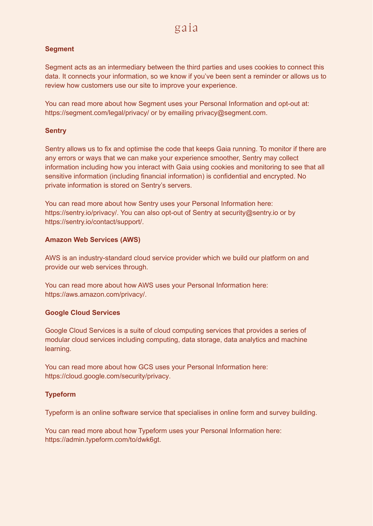#### **Segment**

Segment acts as an intermediary between the third parties and uses cookies to connect this data. It connects your information, so we know if you've been sent a reminder or allows us to review how customers use our site to improve your experience.

You can read more about how Segment uses your Personal Information and opt-out at: <https://segment.com/legal/privacy/> or by emailing [privacy@segment.com.](mailto:privacy@segment.com)

#### **Sentry**

Sentry allows us to fix and optimise the code that keeps Gaia running. To monitor if there are any errors or ways that we can make your experience smoother, Sentry may collect information including how you interact with Gaia using cookies and monitoring to see that all sensitive information (including financial information) is confidential and encrypted. No private information is stored on Sentry's servers.

You can read more about how Sentry uses your Personal Information here: [https://sentry.io/privacy/.](https://sentry.io/privacy/) You can also opt-out of Sentry at security@sentry.io or by [https://sentry.io/contact/support/.](https://sentry.io/contact/support/)

#### **Amazon Web Services (AWS)**

AWS is an industry-standard cloud service provider which we build our platform on and provide our web services through.

You can read more about how AWS uses your Personal Information here: <https://aws.amazon.com/privacy/>.

#### **Google Cloud Services**

Google Cloud Services is a suite of cloud computing services that provides a series of modular cloud services including computing, data storage, data analytics and machine learning.

You can read more about how GCS uses your Personal Information here: [https://cloud.google.com/security/privacy.](https://cloud.google.com/security/privacy)

#### **Typeform**

Typeform is an online software service that specialises in online form and survey building.

You can read more about how Typeform uses your Personal Information here: [https://admin.typeform.com/to/dwk6gt.](https://admin.typeform.com/to/dwk6gt)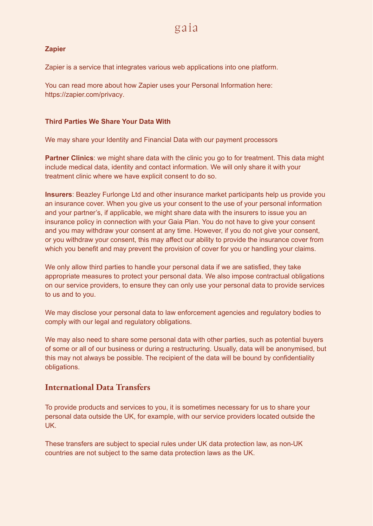#### **Zapier**

Zapier is a service that integrates various web applications into one platform.

You can read more about how Zapier uses your Personal Information here: <https://zapier.com/privacy>.

#### **Third Parties We Share Your Data With**

We may share your Identity and Financial Data with our payment processors

**Partner Clinics**: we might share data with the clinic you go to for treatment. This data might include medical data, identity and contact information. We will only share it with your treatment clinic where we have explicit consent to do so.

**Insurers**: Beazley Furlonge Ltd and other insurance market participants help us provide you an insurance cover. When you give us your consent to the use of your personal information and your partner's, if applicable, we might share data with the insurers to issue you an insurance policy in connection with your Gaia Plan. You do not have to give your consent and you may withdraw your consent at any time. However, if you do not give your consent, or you withdraw your consent, this may affect our ability to provide the insurance cover from which you benefit and may prevent the provision of cover for you or handling your claims.

We only allow third parties to handle your personal data if we are satisfied, they take appropriate measures to protect your personal data. We also impose contractual obligations on our service providers, to ensure they can only use your personal data to provide services to us and to you.

We may disclose your personal data to law enforcement agencies and regulatory bodies to comply with our legal and regulatory obligations.

We may also need to share some personal data with other parties, such as potential buyers of some or all of our business or during a restructuring. Usually, data will be anonymised, but this may not always be possible. The recipient of the data will be bound by confidentiality obligations.

## **International Data Transfers**

To provide products and services to you, it is sometimes necessary for us to share your personal data outside the UK, for example, with our service providers located outside the UK.

These transfers are subject to special rules under UK data protection law, as non-UK countries are not subject to the same data protection laws as the UK.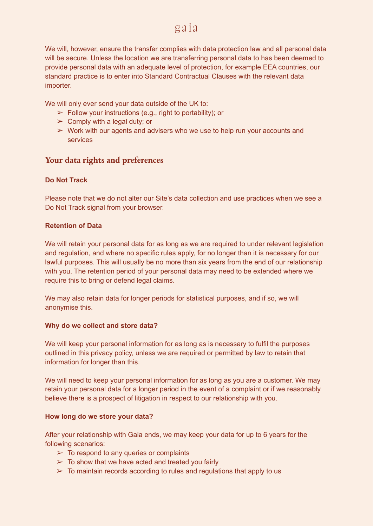We will, however, ensure the transfer complies with data protection law and all personal data will be secure. Unless the location we are transferring personal data to has been deemed to provide personal data with an adequate level of protection, for example EEA countries, our standard practice is to enter into Standard Contractual Clauses with the relevant data importer.

We will only ever send your data outside of the UK to:

- $\triangleright$  Follow your instructions (e.g., right to portability); or
- $\triangleright$  Comply with a legal duty; or
- $\triangleright$  Work with our agents and advisers who we use to help run your accounts and services

### **Your data rights and preferences**

#### **Do Not Track**

Please note that we do not alter our Site's data collection and use practices when we see a Do Not Track signal from your browser.

#### **Retention of Data**

We will retain your personal data for as long as we are required to under relevant legislation and regulation, and where no specific rules apply, for no longer than it is necessary for our lawful purposes. This will usually be no more than six years from the end of our relationship with you. The retention period of your personal data may need to be extended where we require this to bring or defend legal claims.

We may also retain data for longer periods for statistical purposes, and if so, we will anonymise this.

#### **Why do we collect and store data?**

We will keep your personal information for as long as is necessary to fulfil the purposes outlined in this privacy policy, unless we are required or permitted by law to retain that information for longer than this.

We will need to keep your personal information for as long as you are a customer. We may retain your personal data for a longer period in the event of a complaint or if we reasonably believe there is a prospect of litigation in respect to our relationship with you.

#### **How long do we store your data?**

After your relationship with Gaia ends, we may keep your data for up to 6 years for the following scenarios:

- $\geq$  To respond to any queries or complaints
- $\geq$  To show that we have acted and treated you fairly
- $\geq$  To maintain records according to rules and regulations that apply to us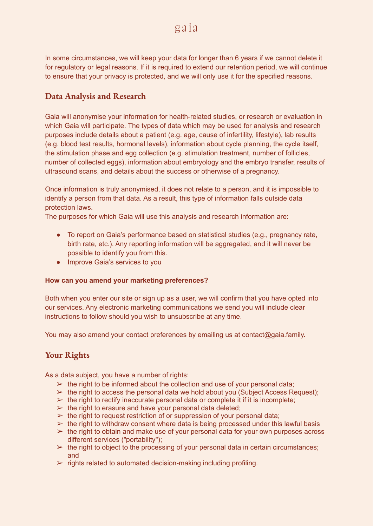In some circumstances, we will keep your data for longer than 6 years if we cannot delete it for regulatory or legal reasons. If it is required to extend our retention period, we will continue to ensure that your privacy is protected, and we will only use it for the specified reasons.

## **Data Analysis and Research**

Gaia will anonymise your information for health-related studies, or research or evaluation in which Gaia will participate. The types of data which may be used for analysis and research purposes include details about a patient (e.g. age, cause of infertility, lifestyle), lab results (e.g. blood test results, hormonal levels), information about cycle planning, the cycle itself, the stimulation phase and egg collection (e.g. stimulation treatment, number of follicles, number of collected eggs), information about embryology and the embryo transfer, results of ultrasound scans, and details about the success or otherwise of a pregnancy.

Once information is truly anonymised, it does not relate to a person, and it is impossible to identify a person from that data. As a result, this type of information falls outside data protection laws.

The purposes for which Gaia will use this analysis and research information are:

- To report on Gaia's performance based on statistical studies (e.g., pregnancy rate, birth rate, etc.). Any reporting information will be aggregated, and it will never be possible to identify you from this.
- Improve Gaia's services to you

#### **How can you amend your marketing preferences?**

Both when you enter our site or sign up as a user, we will confirm that you have opted into our services. Any electronic marketing communications we send you will include clear instructions to follow should you wish to unsubscribe at any time.

You may also amend your contact preferences by emailing us at contact@gaia.family.

### **Your Rights**

As a data subject, you have a number of rights:

- $\geq$  the right to be informed about the collection and use of your personal data;
- $\triangleright$  the right to access the personal data we hold about you (Subject Access Request);
- $\triangleright$  the right to rectify inaccurate personal data or complete it if it is incomplete;
- $\triangleright$  the right to erasure and have your personal data deleted;
- $\triangleright$  the right to request restriction of or suppression of your personal data;
- $\triangleright$  the right to withdraw consent where data is being processed under this lawful basis
- $\triangleright$  the right to obtain and make use of your personal data for your own purposes across different services ("portability");
- $\triangleright$  the right to object to the processing of your personal data in certain circumstances; and
- $\triangleright$  rights related to automated decision-making including profiling.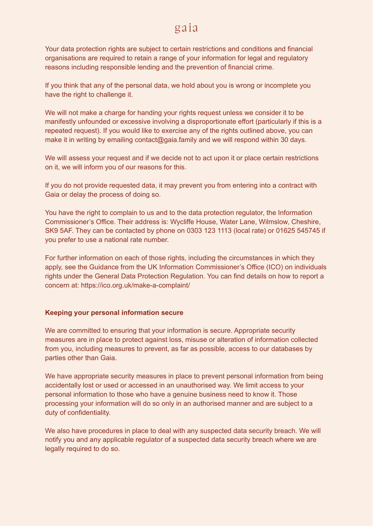Your data protection rights are subject to certain restrictions and conditions and financial organisations are required to retain a range of your information for legal and regulatory reasons including responsible lending and the prevention of financial crime.

If you think that any of the personal data, we hold about you is wrong or incomplete you have the right to challenge it.

We will not make a charge for handing your rights request unless we consider it to be manifestly unfounded or excessive involving a disproportionate effort (particularly if this is a repeated request). If you would like to exercise any of the rights outlined above, you can make it in writing by emailing contact@gaia.family and we will respond within 30 days.

We will assess your request and if we decide not to act upon it or place certain restrictions on it, we will inform you of our reasons for this.

If you do not provide requested data, it may prevent you from entering into a contract with Gaia or delay the process of doing so.

You have the right to complain to us and to the data protection regulator, the Information Commissioner's Office. Their address is: Wycliffe House, Water Lane, Wilmslow, Cheshire, SK9 5AF. They can be contacted by phone on 0303 123 1113 (local rate) or 01625 545745 if you prefer to use a national rate number.

For further information on each of those rights, including the circumstances in which they apply, see the Guidance from the UK Information [Commissioner's](https://ico.org.uk/for-organisations/guide-to-data-protection/guide-to-the-general-data-protection-regulation-gdpr/individual-rights/) Office (ICO) on individuals rights under the General Data Protection [Regulation.](https://ico.org.uk/for-organisations/guide-to-data-protection/guide-to-the-general-data-protection-regulation-gdpr/individual-rights/) You can find details on how to report a concern at: <https://ico.org.uk/make-a-complaint/>

#### **Keeping your personal information secure**

We are committed to ensuring that your information is secure. Appropriate security measures are in place to protect against loss, misuse or alteration of information collected from you, including measures to prevent, as far as possible, access to our databases by parties other than Gaia.

We have appropriate security measures in place to prevent personal information from being accidentally lost or used or accessed in an unauthorised way. We limit access to your personal information to those who have a genuine business need to know it. Those processing your information will do so only in an authorised manner and are subject to a duty of confidentiality.

We also have procedures in place to deal with any suspected data security breach. We will notify you and any applicable regulator of a suspected data security breach where we are legally required to do so.